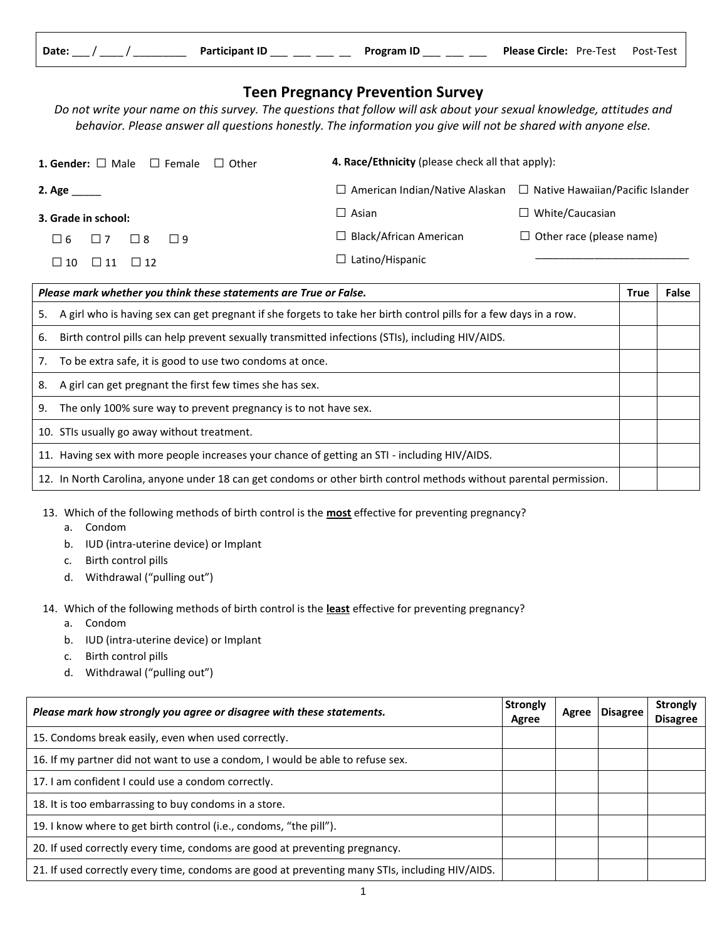| Date: $/$ /                                                                                                                                                                                                                                                                                                                                                                                                                                                                        | Participant ID __ _ _ _ _ Program ID __ _ _ Please Circle: Pre-Test |                                         |                                 |                 | Post-Test                          |  |  |
|------------------------------------------------------------------------------------------------------------------------------------------------------------------------------------------------------------------------------------------------------------------------------------------------------------------------------------------------------------------------------------------------------------------------------------------------------------------------------------|---------------------------------------------------------------------|-----------------------------------------|---------------------------------|-----------------|------------------------------------|--|--|
| Do not write your name on this survey. The questions that follow will ask about your sexual knowledge, attitudes and<br>behavior. Please answer all questions honestly. The information you give will not be shared with anyone else.                                                                                                                                                                                                                                              | <b>Teen Pregnancy Prevention Survey</b>                             |                                         |                                 |                 |                                    |  |  |
| 1. Gender: $\square$ Male<br>$\Box$ Female<br>$\Box$ Other                                                                                                                                                                                                                                                                                                                                                                                                                         | 4. Race/Ethnicity (please check all that apply):                    |                                         |                                 |                 |                                    |  |  |
| 2. Age ______                                                                                                                                                                                                                                                                                                                                                                                                                                                                      | $\Box$ American Indian/Native Alaskan                               | $\Box$ Native Hawaiian/Pacific Islander |                                 |                 |                                    |  |  |
| 3. Grade in school:                                                                                                                                                                                                                                                                                                                                                                                                                                                                | $\Box$ Asian                                                        | $\Box$ White/Caucasian                  |                                 |                 |                                    |  |  |
| $\Box$ 7<br>$\Box$ 8<br>$\sqcup$ 6<br>$\sqcup$ 9                                                                                                                                                                                                                                                                                                                                                                                                                                   | $\Box$ Black/African American                                       |                                         | $\Box$ Other race (please name) |                 |                                    |  |  |
| $\square$ 11<br>$\Box$ 12<br>$\Box$ 10                                                                                                                                                                                                                                                                                                                                                                                                                                             | $\Box$ Latino/Hispanic                                              |                                         |                                 |                 |                                    |  |  |
| Please mark whether you think these statements are True or False.                                                                                                                                                                                                                                                                                                                                                                                                                  |                                                                     |                                         |                                 | <b>True</b>     | False                              |  |  |
| A girl who is having sex can get pregnant if she forgets to take her birth control pills for a few days in a row.<br>5.                                                                                                                                                                                                                                                                                                                                                            |                                                                     |                                         |                                 |                 |                                    |  |  |
| Birth control pills can help prevent sexually transmitted infections (STIs), including HIV/AIDS.<br>6.                                                                                                                                                                                                                                                                                                                                                                             |                                                                     |                                         |                                 |                 |                                    |  |  |
| To be extra safe, it is good to use two condoms at once.<br>7.                                                                                                                                                                                                                                                                                                                                                                                                                     |                                                                     |                                         |                                 |                 |                                    |  |  |
| A girl can get pregnant the first few times she has sex.<br>8.                                                                                                                                                                                                                                                                                                                                                                                                                     |                                                                     |                                         |                                 |                 |                                    |  |  |
| The only 100% sure way to prevent pregnancy is to not have sex.<br>9.                                                                                                                                                                                                                                                                                                                                                                                                              |                                                                     |                                         |                                 |                 |                                    |  |  |
| 10. STIs usually go away without treatment.                                                                                                                                                                                                                                                                                                                                                                                                                                        |                                                                     |                                         |                                 |                 |                                    |  |  |
| 11. Having sex with more people increases your chance of getting an STI - including HIV/AIDS.                                                                                                                                                                                                                                                                                                                                                                                      |                                                                     |                                         |                                 |                 |                                    |  |  |
| 12. In North Carolina, anyone under 18 can get condoms or other birth control methods without parental permission.                                                                                                                                                                                                                                                                                                                                                                 |                                                                     |                                         |                                 |                 |                                    |  |  |
| 13. Which of the following methods of birth control is the <b>most</b> effective for preventing pregnancy?<br>Condom<br>а.<br>IUD (intra-uterine device) or Implant<br>b.<br>Birth control pills<br>c.<br>Withdrawal ("pulling out")<br>d.<br>14. Which of the following methods of birth control is the least effective for preventing pregnancy?<br>Condom<br>a.<br>IUD (intra-uterine device) or Implant<br>b.<br>Birth control pills<br>c.<br>Withdrawal ("pulling out")<br>d. |                                                                     |                                         |                                 |                 |                                    |  |  |
| Please mark how strongly you agree or disagree with these statements.                                                                                                                                                                                                                                                                                                                                                                                                              |                                                                     | <b>Strongly</b><br>Agree                | Agree                           | <b>Disagree</b> | <b>Strongly</b><br><b>Disagree</b> |  |  |
| 15. Condoms break easily, even when used correctly.                                                                                                                                                                                                                                                                                                                                                                                                                                |                                                                     |                                         |                                 |                 |                                    |  |  |
| 16. If my partner did not want to use a condom, I would be able to refuse sex.                                                                                                                                                                                                                                                                                                                                                                                                     |                                                                     |                                         |                                 |                 |                                    |  |  |
| 17. I am confident I could use a condom correctly.                                                                                                                                                                                                                                                                                                                                                                                                                                 |                                                                     |                                         |                                 |                 |                                    |  |  |
| 18. It is too embarrassing to buy condoms in a store.                                                                                                                                                                                                                                                                                                                                                                                                                              |                                                                     |                                         |                                 |                 |                                    |  |  |
| 19. I know where to get birth control (i.e., condoms, "the pill").                                                                                                                                                                                                                                                                                                                                                                                                                 |                                                                     |                                         |                                 |                 |                                    |  |  |

20. If used correctly every time, condoms are good at preventing pregnancy.

21. If used correctly every time, condoms are good at preventing many STIs, including HIV/AIDS.